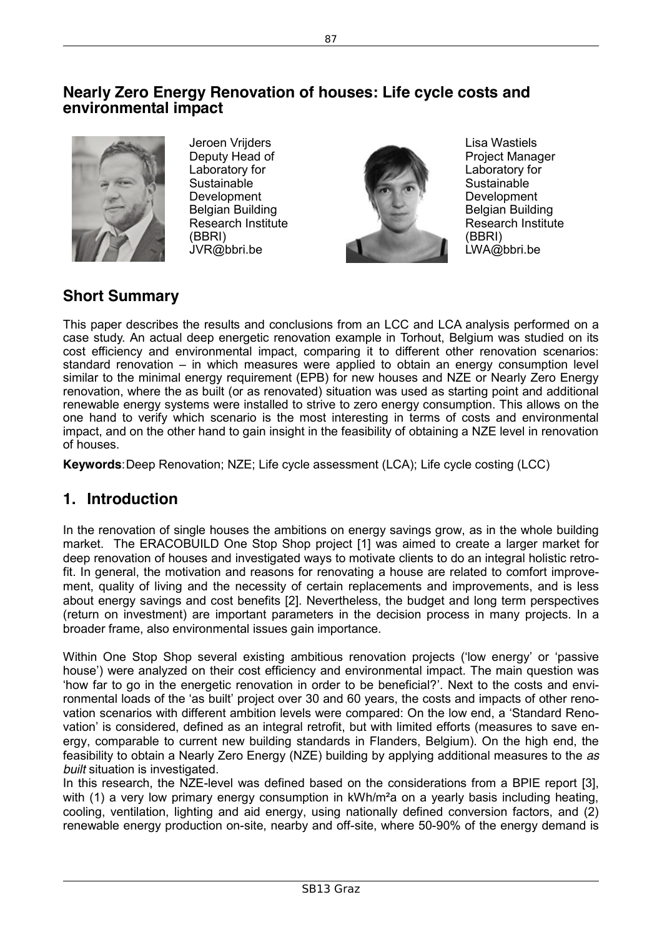## **Nearly Zero Energy Renovation of houses: Life cycle costs and environmental impact**



Jeroen Vrijders Deputy Head of Laboratory for **Sustainable** Development Belgian Building Research Institute (BBRI) JVR@bbri.be



Lisa Wastiels Project Manager Laboratory for **Sustainable** Development Belgian Building Research Institute (BBRI) LWA@bbri.be

# **Short Summary**

This paper describes the results and conclusions from an LCC and LCA analysis performed on a case study. An actual deep energetic renovation example in Torhout, Belgium was studied on its cost efficiency and environmental impact, comparing it to different other renovation scenarios: standard renovation – in which measures were applied to obtain an energy consumption level similar to the minimal energy requirement (EPB) for new houses and NZE or Nearly Zero Energy renovation, where the as built (or as renovated) situation was used as starting point and additional renewable energy systems were installed to strive to zero energy consumption. This allows on the one hand to verify which scenario is the most interesting in terms of costs and environmental impact, and on the other hand to gain insight in the feasibility of obtaining a NZE level in renovation of houses.

**Keywords**:Deep Renovation; NZE; Life cycle assessment (LCA); Life cycle costing (LCC)

# **1. Introduction**

In the renovation of single houses the ambitions on energy savings grow, as in the whole building market. The ERACOBUILD One Stop Shop project [1] was aimed to create a larger market for deep renovation of houses and investigated ways to motivate clients to do an integral holistic retrofit. In general, the motivation and reasons for renovating a house are related to comfort improvement, quality of living and the necessity of certain replacements and improvements, and is less about energy savings and cost benefits [2]. Nevertheless, the budget and long term perspectives (return on investment) are important parameters in the decision process in many projects. In a broader frame, also environmental issues gain importance.

Within One Stop Shop several existing ambitious renovation projects ('low energy' or 'passive house') were analyzed on their cost efficiency and environmental impact. The main question was 'how far to go in the energetic renovation in order to be beneficial?'. Next to the costs and environmental loads of the 'as built' project over 30 and 60 years, the costs and impacts of other renovation scenarios with different ambition levels were compared: On the low end, a 'Standard Renovation' is considered, defined as an integral retrofit, but with limited efforts (measures to save energy, comparable to current new building standards in Flanders, Belgium). On the high end, the feasibility to obtain a Nearly Zero Energy (NZE) building by applying additional measures to the *as built* situation is investigated.

In this research, the NZE-level was defined based on the considerations from a BPIE report [3], with (1) a very low primary energy consumption in kWh/m<sup>2</sup>a on a yearly basis including heating, cooling, ventilation, lighting and aid energy, using nationally defined conversion factors, and (2) renewable energy production on-site, nearby and off-site, where 50-90% of the energy demand is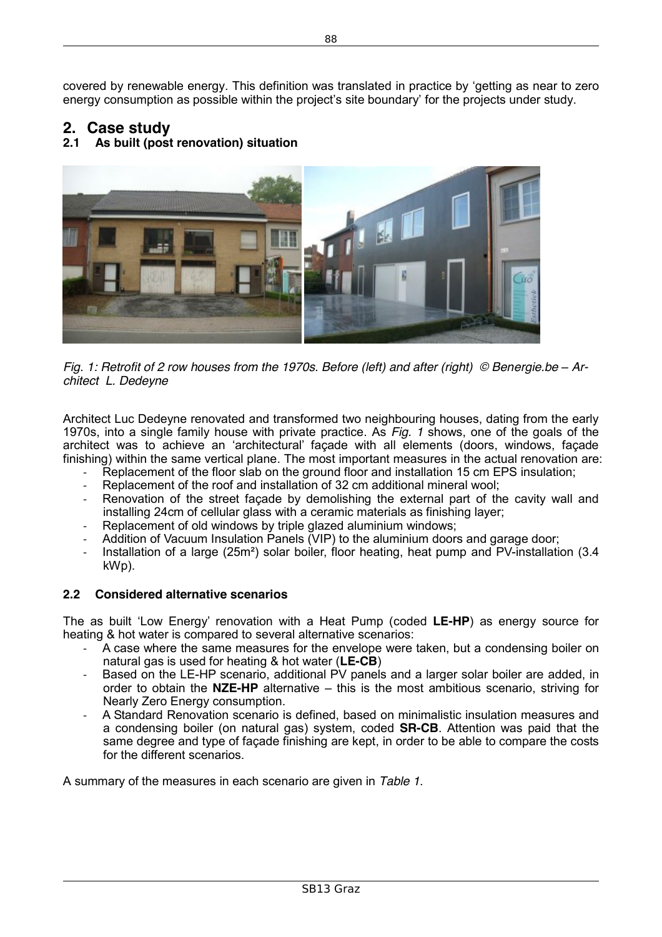covered by renewable energy. This definition was translated in practice by 'getting as near to zero energy consumption as possible within the project's site boundary' for the projects under study.

# **2. Case study**

## **2.1 As built (post renovation) situation**



*Fig. 1:* Retrofit of 2 row houses from the 1970s. Before (left) and after (right) © Benergie.be – Ar*chitect L. Dedeyne*

Architect Luc Dedeyne renovated and transformed two neighbouring houses, dating from the early 1970s, into a single family house with private practice. As *Fig. 1* shows, one of the goals of the architect was to achieve an 'architectural' façade with all elements (doors, windows, façade finishing) within the same vertical plane. The most important measures in the actual renovation are:

- Replacement of the floor slab on the ground floor and installation 15 cm EPS insulation;
- Replacement of the roof and installation of 32 cm additional mineral wool;
- Renovation of the street facade by demolishing the external part of the cavity wall and installing 24cm of cellular glass with a ceramic materials as finishing layer;
- Replacement of old windows by triple glazed aluminium windows;
- Addition of Vacuum Insulation Panels (VIP) to the aluminium doors and garage door;
- Installation of a large (25m<sup>2</sup>) solar boiler, floor heating, heat pump and PV-installation (3.4) kWp).

#### **2.2 Considered alternative scenarios**

The as built 'Low Energy' renovation with a Heat Pump (coded **LE-HP**) as energy source for heating & hot water is compared to several alternative scenarios:

- A case where the same measures for the envelope were taken, but a condensing boiler on natural gas is used for heating & hot water (**LE-CB**)
- Based on the LE-HP scenario, additional PV panels and a larger solar boiler are added, in order to obtain the **NZE-HP** alternative – this is the most ambitious scenario, striving for Nearly Zero Energy consumption.
- A Standard Renovation scenario is defined, based on minimalistic insulation measures and a condensing boiler (on natural gas) system, coded **SR-CB**. Attention was paid that the same degree and type of façade finishing are kept, in order to be able to compare the costs for the different scenarios.

A summary of the measures in each scenario are given in *Table 1*.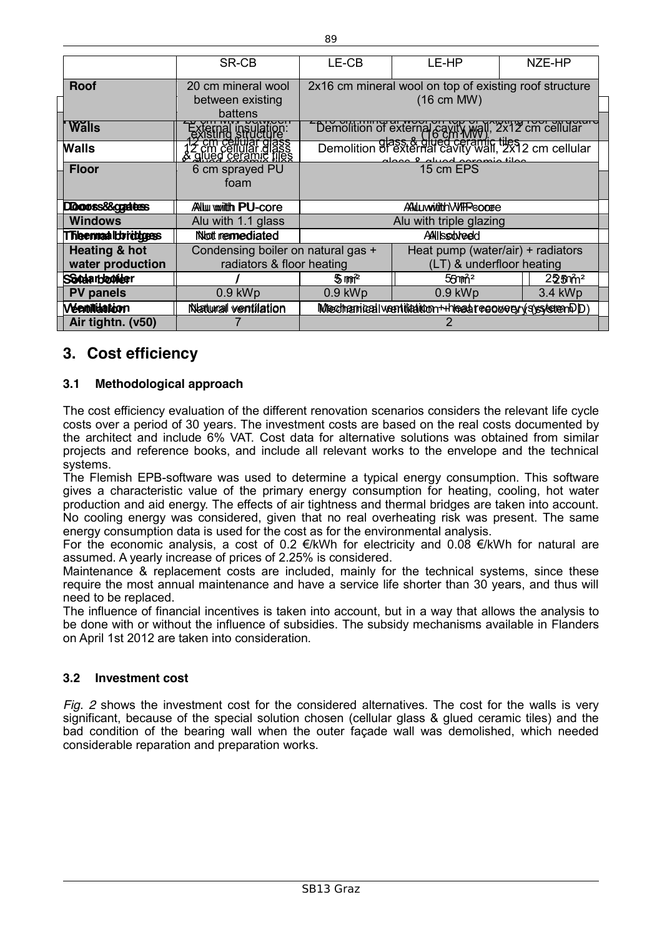|                          | SR-CB                                                                       | LE-CB                                                                                                           | LE-HP                             | NZE-HP            |
|--------------------------|-----------------------------------------------------------------------------|-----------------------------------------------------------------------------------------------------------------|-----------------------------------|-------------------|
| <b>Roof</b>              | 20 cm mineral wool                                                          | 2x16 cm mineral wool on top of existing roof structure                                                          |                                   |                   |
|                          | between existing<br>battens                                                 | $(16 \text{ cm} \text{ MW})$                                                                                    |                                   |                   |
| <b>Walls</b>             | mai insulat<br>ting structu                                                 | - Demolition of external carry of 1, 2x12 cm cellular<br>- Demolition of external cavity wall, 2x12 cm cellular |                                   |                   |
| <b>Walls</b>             | <del>'êm cellular glass<br/>cm cellular glass<br/>liueg ceramic files</del> | ممانه منصوعهم اممييام فيمممه                                                                                    |                                   |                   |
| <b>Floor</b>             | 6 cm sprayed PU                                                             | 15 cm EPS                                                                                                       |                                   |                   |
|                          | foam                                                                        |                                                                                                                 |                                   |                   |
| DDoorss&craatess         | <b>Allul wwiith PU-core</b>                                                 | ANILI wititith WIFF ECODEC                                                                                      |                                   |                   |
| <b>Windows</b>           | Alu with 1.1 glass                                                          | Alu with triple glazing                                                                                         |                                   |                   |
| Theemaalbridges          | Not remediated                                                              | AAIIssobreed                                                                                                    |                                   |                   |
| <b>Heating &amp; hot</b> | Condensing boiler on natural gas +                                          |                                                                                                                 | Heat pump (water/air) + radiators |                   |
| water production         | radiators & floor heating                                                   |                                                                                                                 | (LT) & underfloor heating         |                   |
| <b>SSOdarboonder</b>     |                                                                             | 5mm <sup>2</sup>                                                                                                | 55mm <sup>2</sup>                 | 225m <sup>2</sup> |
| <b>PV panels</b>         | $0.9$ kWp                                                                   | $0.9$ kWp                                                                                                       | $0.9$ kWp                         | 3.4 kWp           |
| <b>Wentiliaation</b>     | Natural ventilation                                                         | Mechanical ventiliation ++heatrecovery(systetenDD)                                                              |                                   |                   |
| Air tightn. (v50)        |                                                                             |                                                                                                                 |                                   |                   |

# **3. Cost efficiency**

### **3.1 Methodological approach**

The cost efficiency evaluation of the different renovation scenarios considers the relevant life cycle costs over a period of 30 years. The investment costs are based on the real costs documented by the architect and include 6% VAT. Cost data for alternative solutions was obtained from similar projects and reference books, and include all relevant works to the envelope and the technical systems.

The Flemish EPB-software was used to determine a typical energy consumption. This software gives a characteristic value of the primary energy consumption for heating, cooling, hot water production and aid energy. The effects of air tightness and thermal bridges are taken into account. No cooling energy was considered, given that no real overheating risk was present. The same energy consumption data is used for the cost as for the environmental analysis.

For the economic analysis, a cost of 0.2  $\epsilon$ /kWh for electricity and 0.08  $\epsilon$ /kWh for natural are assumed. A yearly increase of prices of 2.25% is considered.

Maintenance & replacement costs are included, mainly for the technical systems, since these require the most annual maintenance and have a service life shorter than 30 years, and thus will need to be replaced.

The influence of financial incentives is taken into account, but in a way that allows the analysis to be done with or without the influence of subsidies. The subsidy mechanisms available in Flanders on April 1st 2012 are taken into consideration.

#### **3.2 Investment cost**

*Fig. 2* shows the investment cost for the considered alternatives. The cost for the walls is very significant, because of the special solution chosen (cellular glass & glued ceramic tiles) and the bad condition of the bearing wall when the outer façade wall was demolished, which needed considerable reparation and preparation works.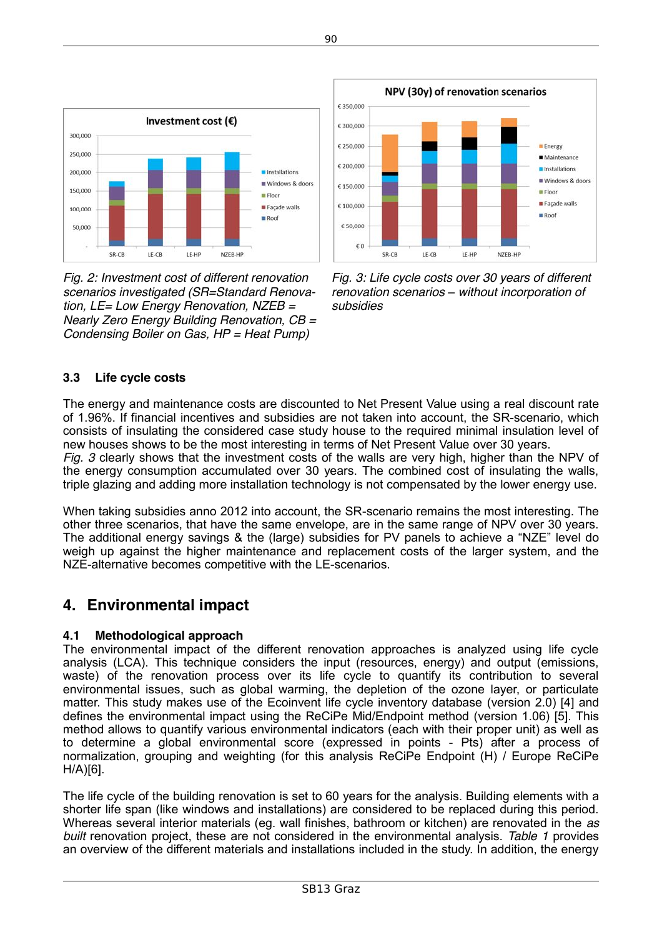

*Fig. 2: Investment cost of different renovation scenarios investigated (SR=Standard Renovation, LE= Low Energy Renovation, NZEB = Nearly Zero Energy Building Renovation, CB = Condensing Boiler on Gas, HP = Heat Pump)*



*Fig. 3: Life cycle costs over 30 years of different renovation scenarios – without incorporation of subsidies*

### **3.3 Life cycle costs**

The energy and maintenance costs are discounted to Net Present Value using a real discount rate of 1.96%. If financial incentives and subsidies are not taken into account, the SR-scenario, which consists of insulating the considered case study house to the required minimal insulation level of new houses shows to be the most interesting in terms of Net Present Value over 30 years. *Fig. 3* clearly shows that the investment costs of the walls are very high, higher than the NPV of the energy consumption accumulated over 30 years. The combined cost of insulating the walls, triple glazing and adding more installation technology is not compensated by the lower energy use.

When taking subsidies anno 2012 into account, the SR-scenario remains the most interesting. The other three scenarios, that have the same envelope, are in the same range of NPV over 30 years. The additional energy savings & the (large) subsidies for PV panels to achieve a "NZE" level do weigh up against the higher maintenance and replacement costs of the larger system, and the NZE-alternative becomes competitive with the LE-scenarios.

# **4. Environmental impact**

#### **4.1 Methodological approach**

The environmental impact of the different renovation approaches is analyzed using life cycle analysis (LCA). This technique considers the input (resources, energy) and output (emissions, waste) of the renovation process over its life cycle to quantify its contribution to several environmental issues, such as global warming, the depletion of the ozone layer, or particulate matter. This study makes use of the Ecoinvent life cycle inventory database (version 2.0) [4] and defines the environmental impact using the ReCiPe Mid/Endpoint method (version 1.06) [5]. This method allows to quantify various environmental indicators (each with their proper unit) as well as to determine a global environmental score (expressed in points - Pts) after a process of normalization, grouping and weighting (for this analysis ReCiPe Endpoint (H) / Europe ReCiPe H/A)[6].

The life cycle of the building renovation is set to 60 years for the analysis. Building elements with a shorter life span (like windows and installations) are considered to be replaced during this period. Whereas several interior materials (eg. wall finishes, bathroom or kitchen) are renovated in the *as built* renovation project, these are not considered in the environmental analysis. *Table 1* provides an overview of the different materials and installations included in the study. In addition, the energy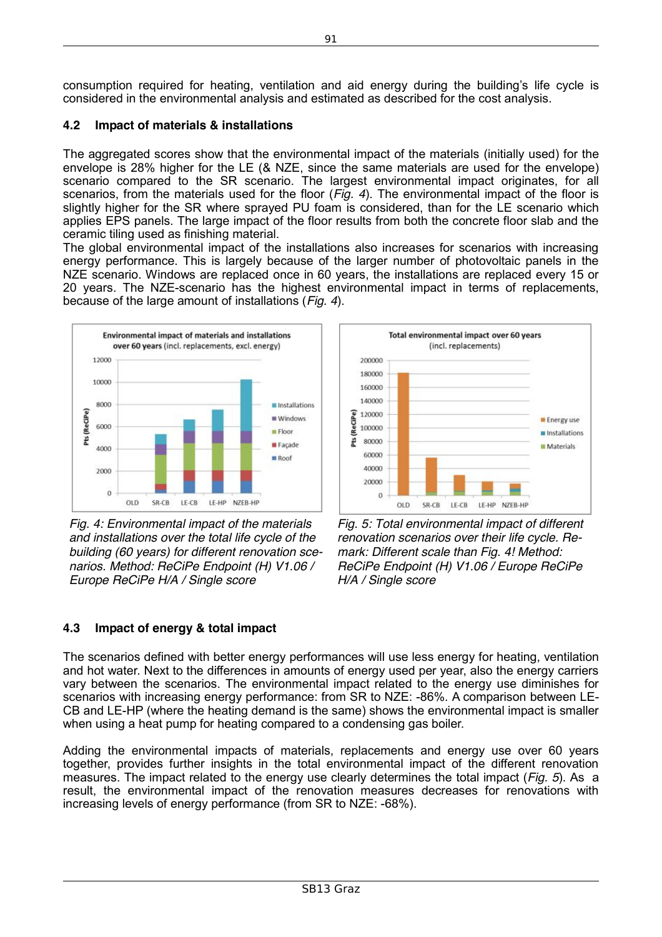consumption required for heating, ventilation and aid energy during the building's life cycle is considered in the environmental analysis and estimated as described for the cost analysis.

#### **4.2 Impact of materials & installations**

The aggregated scores show that the environmental impact of the materials (initially used) for the envelope is 28% higher for the LE (& NZE, since the same materials are used for the envelope) scenario compared to the SR scenario. The largest environmental impact originates, for all scenarios, from the materials used for the floor (*Fig. 4*). The environmental impact of the floor is slightly higher for the SR where sprayed PU foam is considered, than for the LE scenario which applies EPS panels. The large impact of the floor results from both the concrete floor slab and the ceramic tiling used as finishing material.

The global environmental impact of the installations also increases for scenarios with increasing energy performance. This is largely because of the larger number of photovoltaic panels in the NZE scenario. Windows are replaced once in 60 years, the installations are replaced every 15 or 20 years. The NZE-scenario has the highest environmental impact in terms of replacements, because of the large amount of installations (*Fig. 4*).



*Fig. 4: Environmental impact of the materials and installations over the total life cycle of the building (60 years) for different renovation scenarios. Method: ReCiPe Endpoint (H) V1.06 / Europe ReCiPe H/A / Single score*



*Fig. 5: Total environmental impact of different renovation scenarios over their life cycle. Remark: Different scale than Fig. 4! Method: ReCiPe Endpoint (H) V1.06 / Europe ReCiPe H/A / Single score*

## **4.3 Impact of energy & total impact**

The scenarios defined with better energy performances will use less energy for heating, ventilation and hot water. Next to the differences in amounts of energy used per year, also the energy carriers vary between the scenarios. The environmental impact related to the energy use diminishes for scenarios with increasing energy performance: from SR to NZE: -86%. A comparison between LE-CB and LE-HP (where the heating demand is the same) shows the environmental impact is smaller when using a heat pump for heating compared to a condensing gas boiler.

Adding the environmental impacts of materials, replacements and energy use over 60 years together, provides further insights in the total environmental impact of the different renovation measures. The impact related to the energy use clearly determines the total impact (*Fig. 5*). As a result, the environmental impact of the renovation measures decreases for renovations with increasing levels of energy performance (from SR to NZE: -68%).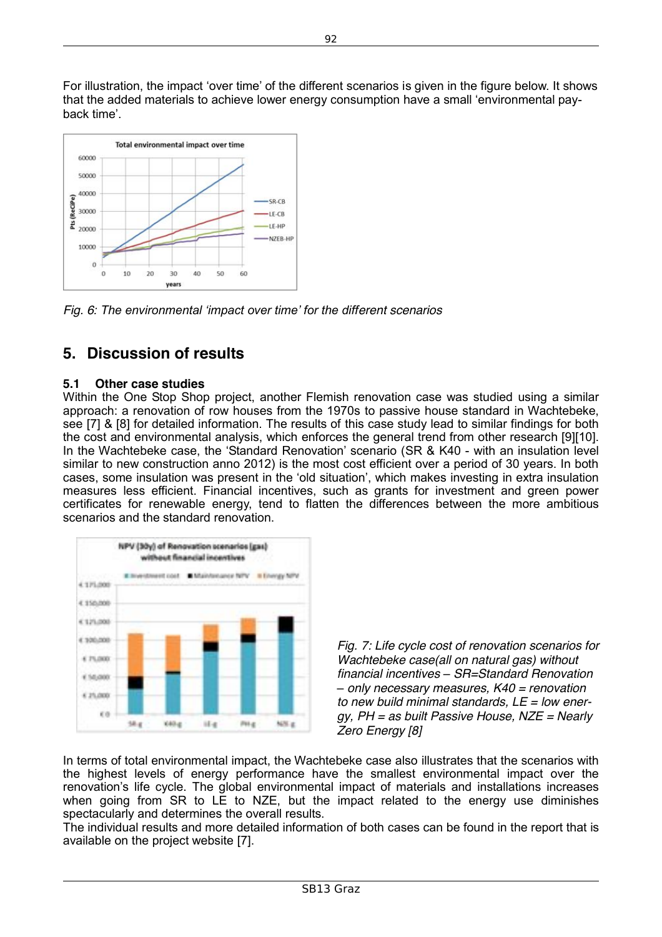

*Fig. 6: The environmental 'impact over time' for the different scenarios*

# **5. Discussion of results**

#### **5.1 Other case studies**

Within the One Stop Shop project, another Flemish renovation case was studied using a similar approach: a renovation of row houses from the 1970s to passive house standard in Wachtebeke, see [7] & [8] for detailed information. The results of this case study lead to similar findings for both the cost and environmental analysis, which enforces the general trend from other research [9][10]. In the Wachtebeke case, the 'Standard Renovation' scenario (SR & K40 - with an insulation level similar to new construction anno 2012) is the most cost efficient over a period of 30 years. In both cases, some insulation was present in the 'old situation', which makes investing in extra insulation measures less efficient. Financial incentives, such as grants for investment and green power certificates for renewable energy, tend to flatten the differences between the more ambitious scenarios and the standard renovation.



*Fig. 7: Life cycle cost of renovation scenarios for Wachtebeke case(all on natural gas) without financial incentives – SR=Standard Renovation – only necessary measures, K40 = renovation to new build minimal standards, LE = low energy, PH = as built Passive House, NZE = Nearly Zero Energy [8]*

In terms of total environmental impact, the Wachtebeke case also illustrates that the scenarios with the highest levels of energy performance have the smallest environmental impact over the renovation's life cycle. The global environmental impact of materials and installations increases when going from SR to LE to NZE, but the impact related to the energy use diminishes spectacularly and determines the overall results.

The individual results and more detailed information of both cases can be found in the report that is available on the project website [7].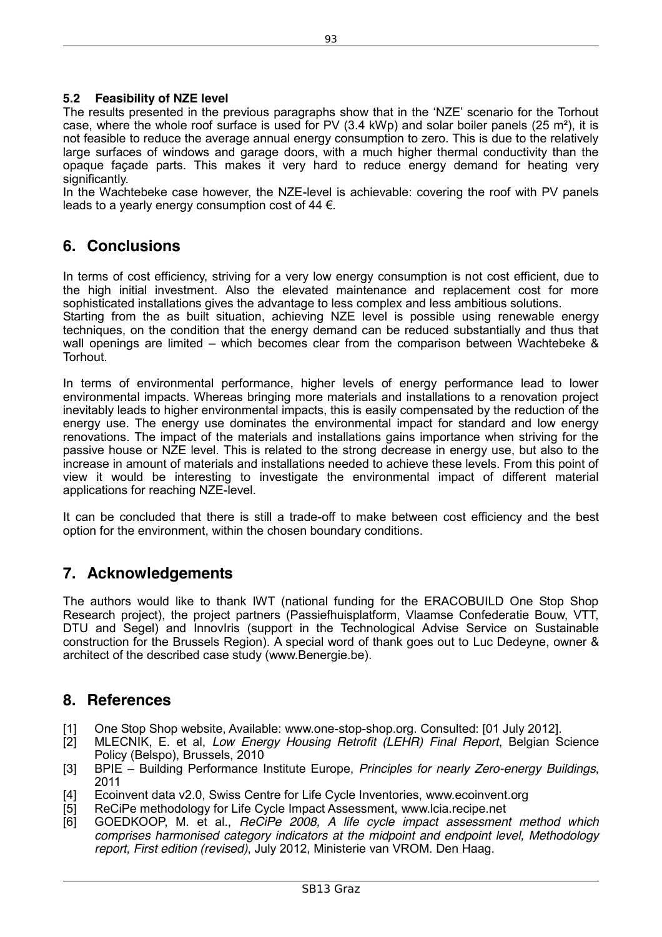#### **5.2 Feasibility of NZE level**

The results presented in the previous paragraphs show that in the 'NZE' scenario for the Torhout case, where the whole roof surface is used for PV (3.4 kWp) and solar boiler panels (25 m<sup>2</sup>), it is not feasible to reduce the average annual energy consumption to zero. This is due to the relatively large surfaces of windows and garage doors, with a much higher thermal conductivity than the opaque façade parts. This makes it very hard to reduce energy demand for heating very significantly.

In the Wachtebeke case however, the NZE-level is achievable: covering the roof with PV panels leads to a vearly energy consumption cost of 44  $\epsilon$ .

## **6. Conclusions**

In terms of cost efficiency, striving for a very low energy consumption is not cost efficient, due to the high initial investment. Also the elevated maintenance and replacement cost for more sophisticated installations gives the advantage to less complex and less ambitious solutions.

Starting from the as built situation, achieving NZE level is possible using renewable energy techniques, on the condition that the energy demand can be reduced substantially and thus that wall openings are limited – which becomes clear from the comparison between Wachtebeke & Torhout.

In terms of environmental performance, higher levels of energy performance lead to lower environmental impacts. Whereas bringing more materials and installations to a renovation project inevitably leads to higher environmental impacts, this is easily compensated by the reduction of the energy use. The energy use dominates the environmental impact for standard and low energy renovations. The impact of the materials and installations gains importance when striving for the passive house or NZE level. This is related to the strong decrease in energy use, but also to the increase in amount of materials and installations needed to achieve these levels. From this point of view it would be interesting to investigate the environmental impact of different material applications for reaching NZE-level.

It can be concluded that there is still a trade-off to make between cost efficiency and the best option for the environment, within the chosen boundary conditions.

## **7. Acknowledgements**

The authors would like to thank IWT (national funding for the ERACOBUILD One Stop Shop Research project), the project partners (Passiefhuisplatform, Vlaamse Confederatie Bouw, VTT, DTU and Segel) and Innoviris (support in the Technological Advise Service on Sustainable construction for the Brussels Region). A special word of thank goes out to Luc Dedeyne, owner & architect of the described case study (www.Benergie.be).

### **8. References**

- [1] One Stop Shop website, Available: www.one-stop-shop.org. Consulted: [01 July 2012].<br>[2] MLECNIK, E. et al. *Low Energy Housing Retrofit (LEHR) Final Report*, Belgian S
- [2] MLECNIK, E. et al, *Low Energy Housing Retrofit (LEHR) Final Report*, Belgian Science Policy (Belspo), Brussels, 2010
- [3] BPIE Building Performance Institute Europe, *Principles for nearly Zero-energy Buildings*, 2011
- [4] Ecoinvent data v2.0, Swiss Centre for Life Cycle Inventories, www.ecoinvent.org
- [5] ReCiPe methodology for Life Cycle Impact Assessment, www.lcia.recipe.net<br>[6] GOEDKOOP, M. et al., *ReCiPe 2008, A life cycle impact assessmen*
- [6] GOEDKOOP, M. et al., *ReCiPe 2008, A life cycle impact assessment method which comprises harmonised category indicators at the midpoint and endpoint level, Methodology report, First edition (revised)*, July 2012, Ministerie van VROM. Den Haag.